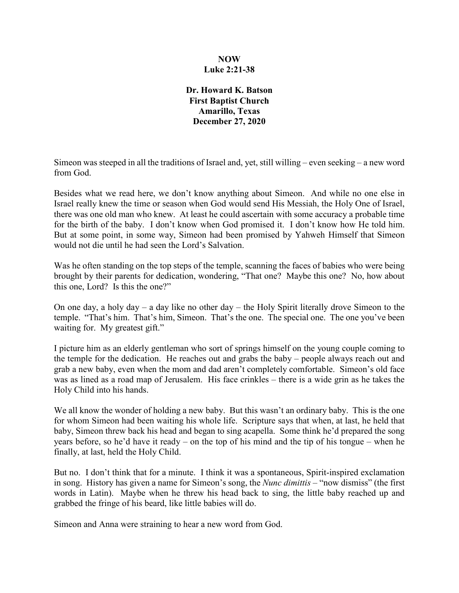## **NOW Luke 2:21-38**

**Dr. Howard K. Batson First Baptist Church Amarillo, Texas December 27, 2020**

Simeon was steeped in all the traditions of Israel and, yet, still willing – even seeking – a new word from God.

Besides what we read here, we don't know anything about Simeon. And while no one else in Israel really knew the time or season when God would send His Messiah, the Holy One of Israel, there was one old man who knew. At least he could ascertain with some accuracy a probable time for the birth of the baby. I don't know when God promised it. I don't know how He told him. But at some point, in some way, Simeon had been promised by Yahweh Himself that Simeon would not die until he had seen the Lord's Salvation.

Was he often standing on the top steps of the temple, scanning the faces of babies who were being brought by their parents for dedication, wondering, "That one? Maybe this one? No, how about this one, Lord? Is this the one?"

On one day, a holy day – a day like no other day – the Holy Spirit literally drove Simeon to the temple. "That's him. That's him, Simeon. That's the one. The special one. The one you've been waiting for. My greatest gift."

I picture him as an elderly gentleman who sort of springs himself on the young couple coming to the temple for the dedication. He reaches out and grabs the baby – people always reach out and grab a new baby, even when the mom and dad aren't completely comfortable. Simeon's old face was as lined as a road map of Jerusalem. His face crinkles – there is a wide grin as he takes the Holy Child into his hands.

We all know the wonder of holding a new baby. But this wasn't an ordinary baby. This is the one for whom Simeon had been waiting his whole life. Scripture says that when, at last, he held that baby, Simeon threw back his head and began to sing acapella. Some think he'd prepared the song years before, so he'd have it ready – on the top of his mind and the tip of his tongue – when he finally, at last, held the Holy Child.

But no. I don't think that for a minute. I think it was a spontaneous, Spirit-inspired exclamation in song. History has given a name for Simeon's song, the *Nunc dimittis* – "now dismiss" (the first words in Latin). Maybe when he threw his head back to sing, the little baby reached up and grabbed the fringe of his beard, like little babies will do.

Simeon and Anna were straining to hear a new word from God.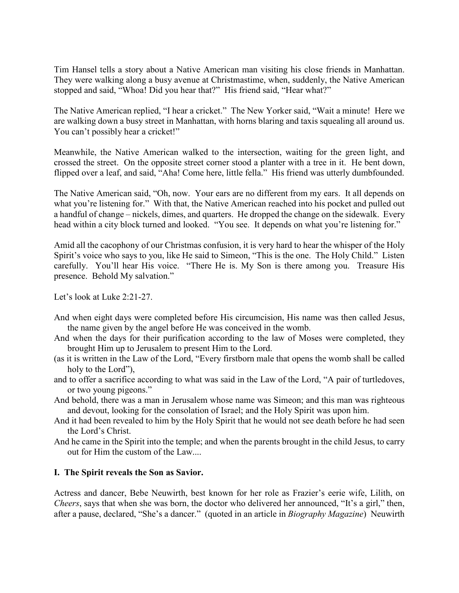Tim Hansel tells a story about a Native American man visiting his close friends in Manhattan. They were walking along a busy avenue at Christmastime, when, suddenly, the Native American stopped and said, "Whoa! Did you hear that?" His friend said, "Hear what?"

The Native American replied, "I hear a cricket." The New Yorker said, "Wait a minute! Here we are walking down a busy street in Manhattan, with horns blaring and taxis squealing all around us. You can't possibly hear a cricket!"

Meanwhile, the Native American walked to the intersection, waiting for the green light, and crossed the street. On the opposite street corner stood a planter with a tree in it. He bent down, flipped over a leaf, and said, "Aha! Come here, little fella." His friend was utterly dumbfounded.

The Native American said, "Oh, now. Your ears are no different from my ears. It all depends on what you're listening for." With that, the Native American reached into his pocket and pulled out a handful of change – nickels, dimes, and quarters. He dropped the change on the sidewalk. Every head within a city block turned and looked. "You see. It depends on what you're listening for."

Amid all the cacophony of our Christmas confusion, it is very hard to hear the whisper of the Holy Spirit's voice who says to you, like He said to Simeon, "This is the one. The Holy Child." Listen carefully. You'll hear His voice. "There He is. My Son is there among you. Treasure His presence. Behold My salvation."

Let's look at Luke 2:21-27.

- And when eight days were completed before His circumcision, His name was then called Jesus, the name given by the angel before He was conceived in the womb.
- And when the days for their purification according to the law of Moses were completed, they brought Him up to Jerusalem to present Him to the Lord.
- (as it is written in the Law of the Lord, "Every firstborn male that opens the womb shall be called holy to the Lord"),
- and to offer a sacrifice according to what was said in the Law of the Lord, "A pair of turtledoves, or two young pigeons."
- And behold, there was a man in Jerusalem whose name was Simeon; and this man was righteous and devout, looking for the consolation of Israel; and the Holy Spirit was upon him.
- And it had been revealed to him by the Holy Spirit that he would not see death before he had seen the Lord's Christ.
- And he came in the Spirit into the temple; and when the parents brought in the child Jesus, to carry out for Him the custom of the Law....

### **I. The Spirit reveals the Son as Savior.**

Actress and dancer, Bebe Neuwirth, best known for her role as Frazier's eerie wife, Lilith, on *Cheers*, says that when she was born, the doctor who delivered her announced, "It's a girl," then, after a pause, declared, "She's a dancer." (quoted in an article in *Biography Magazine*) Neuwirth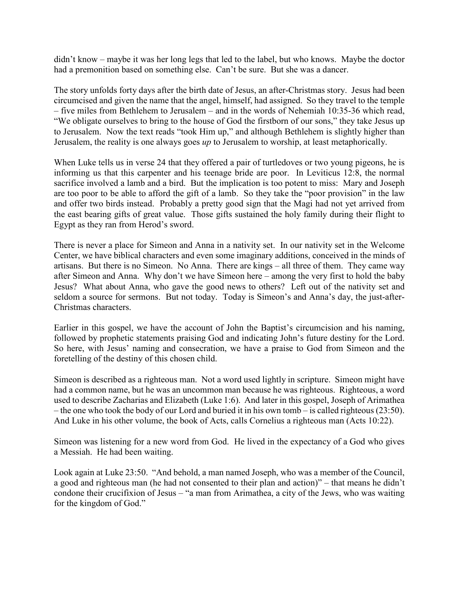didn't know – maybe it was her long legs that led to the label, but who knows. Maybe the doctor had a premonition based on something else. Can't be sure. But she was a dancer.

The story unfolds forty days after the birth date of Jesus, an after-Christmas story. Jesus had been circumcised and given the name that the angel, himself, had assigned. So they travel to the temple – five miles from Bethlehem to Jerusalem – and in the words of Nehemiah 10:35-36 which read, "We obligate ourselves to bring to the house of God the firstborn of our sons," they take Jesus up to Jerusalem. Now the text reads "took Him up," and although Bethlehem is slightly higher than Jerusalem, the reality is one always goes *up* to Jerusalem to worship, at least metaphorically.

When Luke tells us in verse 24 that they offered a pair of turtledoves or two young pigeons, he is informing us that this carpenter and his teenage bride are poor. In Leviticus 12:8, the normal sacrifice involved a lamb and a bird. But the implication is too potent to miss: Mary and Joseph are too poor to be able to afford the gift of a lamb. So they take the "poor provision" in the law and offer two birds instead. Probably a pretty good sign that the Magi had not yet arrived from the east bearing gifts of great value. Those gifts sustained the holy family during their flight to Egypt as they ran from Herod's sword.

There is never a place for Simeon and Anna in a nativity set. In our nativity set in the Welcome Center, we have biblical characters and even some imaginary additions, conceived in the minds of artisans. But there is no Simeon. No Anna. There are kings – all three of them. They came way after Simeon and Anna. Why don't we have Simeon here – among the very first to hold the baby Jesus? What about Anna, who gave the good news to others? Left out of the nativity set and seldom a source for sermons. But not today. Today is Simeon's and Anna's day, the just-after-Christmas characters.

Earlier in this gospel, we have the account of John the Baptist's circumcision and his naming, followed by prophetic statements praising God and indicating John's future destiny for the Lord. So here, with Jesus' naming and consecration, we have a praise to God from Simeon and the foretelling of the destiny of this chosen child.

Simeon is described as a righteous man. Not a word used lightly in scripture. Simeon might have had a common name, but he was an uncommon man because he was righteous. Righteous, a word used to describe Zacharias and Elizabeth (Luke 1:6). And later in this gospel, Joseph of Arimathea – the one who took the body of our Lord and buried it in his own tomb – is called righteous (23:50). And Luke in his other volume, the book of Acts, calls Cornelius a righteous man (Acts 10:22).

Simeon was listening for a new word from God. He lived in the expectancy of a God who gives a Messiah. He had been waiting.

Look again at Luke 23:50. "And behold, a man named Joseph, who was a member of the Council, a good and righteous man (he had not consented to their plan and action)" – that means he didn't condone their crucifixion of Jesus – "a man from Arimathea, a city of the Jews, who was waiting for the kingdom of God."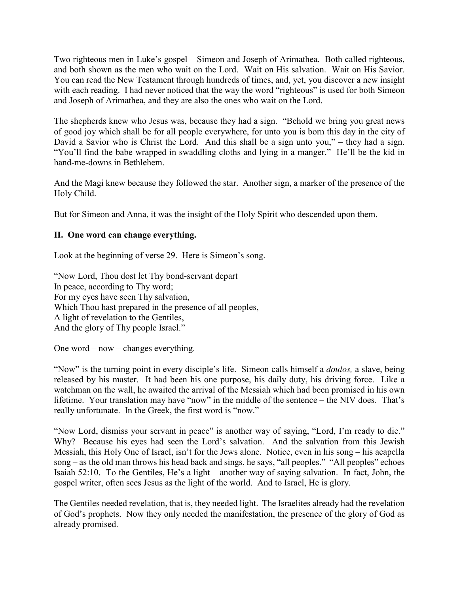Two righteous men in Luke's gospel – Simeon and Joseph of Arimathea. Both called righteous, and both shown as the men who wait on the Lord. Wait on His salvation. Wait on His Savior. You can read the New Testament through hundreds of times, and, yet, you discover a new insight with each reading. I had never noticed that the way the word "righteous" is used for both Simeon and Joseph of Arimathea, and they are also the ones who wait on the Lord.

The shepherds knew who Jesus was, because they had a sign. "Behold we bring you great news of good joy which shall be for all people everywhere, for unto you is born this day in the city of David a Savior who is Christ the Lord. And this shall be a sign unto you," – they had a sign. "You'll find the babe wrapped in swaddling cloths and lying in a manger." He'll be the kid in hand-me-downs in Bethlehem.

And the Magi knew because they followed the star. Another sign, a marker of the presence of the Holy Child.

But for Simeon and Anna, it was the insight of the Holy Spirit who descended upon them.

## **II. One word can change everything.**

Look at the beginning of verse 29. Here is Simeon's song.

"Now Lord, Thou dost let Thy bond-servant depart In peace, according to Thy word; For my eyes have seen Thy salvation, Which Thou hast prepared in the presence of all peoples, A light of revelation to the Gentiles, And the glory of Thy people Israel."

One word – now – changes everything.

"Now" is the turning point in every disciple's life. Simeon calls himself a *doulos,* a slave, being released by his master. It had been his one purpose, his daily duty, his driving force. Like a watchman on the wall, he awaited the arrival of the Messiah which had been promised in his own lifetime. Your translation may have "now" in the middle of the sentence – the NIV does. That's really unfortunate. In the Greek, the first word is "now."

"Now Lord, dismiss your servant in peace" is another way of saying, "Lord, I'm ready to die." Why? Because his eyes had seen the Lord's salvation. And the salvation from this Jewish Messiah, this Holy One of Israel, isn't for the Jews alone. Notice, even in his song – his acapella song – as the old man throws his head back and sings, he says, "all peoples." "All peoples" echoes Isaiah 52:10. To the Gentiles, He's a light – another way of saying salvation. In fact, John, the gospel writer, often sees Jesus as the light of the world. And to Israel, He is glory.

The Gentiles needed revelation, that is, they needed light. The Israelites already had the revelation of God's prophets. Now they only needed the manifestation, the presence of the glory of God as already promised.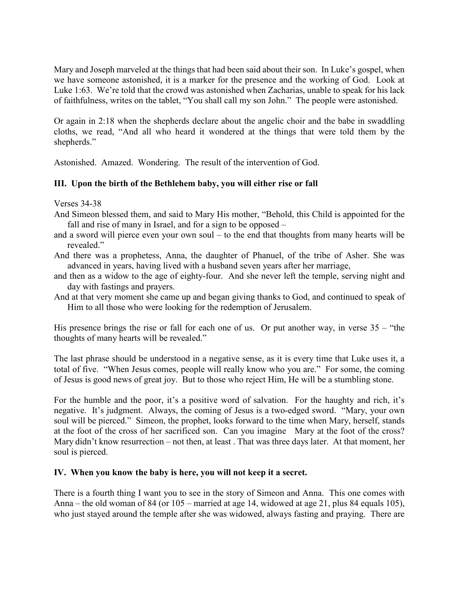Mary and Joseph marveled at the things that had been said about their son. In Luke's gospel, when we have someone astonished, it is a marker for the presence and the working of God. Look at Luke 1:63. We're told that the crowd was astonished when Zacharias, unable to speak for his lack of faithfulness, writes on the tablet, "You shall call my son John." The people were astonished.

Or again in 2:18 when the shepherds declare about the angelic choir and the babe in swaddling cloths, we read, "And all who heard it wondered at the things that were told them by the shepherds."

Astonished. Amazed. Wondering. The result of the intervention of God.

# **III. Upon the birth of the Bethlehem baby, you will either rise or fall**

Verses 34-38

- And Simeon blessed them, and said to Mary His mother, "Behold, this Child is appointed for the fall and rise of many in Israel, and for a sign to be opposed –
- and a sword will pierce even your own soul to the end that thoughts from many hearts will be revealed."
- And there was a prophetess, Anna, the daughter of Phanuel, of the tribe of Asher. She was advanced in years, having lived with a husband seven years after her marriage,
- and then as a widow to the age of eighty-four. And she never left the temple, serving night and day with fastings and prayers.
- And at that very moment she came up and began giving thanks to God, and continued to speak of Him to all those who were looking for the redemption of Jerusalem.

His presence brings the rise or fall for each one of us. Or put another way, in verse  $35 -$  "the thoughts of many hearts will be revealed."

The last phrase should be understood in a negative sense, as it is every time that Luke uses it, a total of five. "When Jesus comes, people will really know who you are." For some, the coming of Jesus is good news of great joy. But to those who reject Him, He will be a stumbling stone.

For the humble and the poor, it's a positive word of salvation. For the haughty and rich, it's negative. It's judgment. Always, the coming of Jesus is a two-edged sword. "Mary, your own soul will be pierced." Simeon, the prophet, looks forward to the time when Mary, herself, stands at the foot of the cross of her sacrificed son. Can you imagine Mary at the foot of the cross? Mary didn't know resurrection – not then, at least . That was three days later. At that moment, her soul is pierced.

### **IV. When you know the baby is here, you will not keep it a secret.**

There is a fourth thing I want you to see in the story of Simeon and Anna. This one comes with Anna – the old woman of 84 (or 105 – married at age 14, widowed at age 21, plus 84 equals 105), who just stayed around the temple after she was widowed, always fasting and praying. There are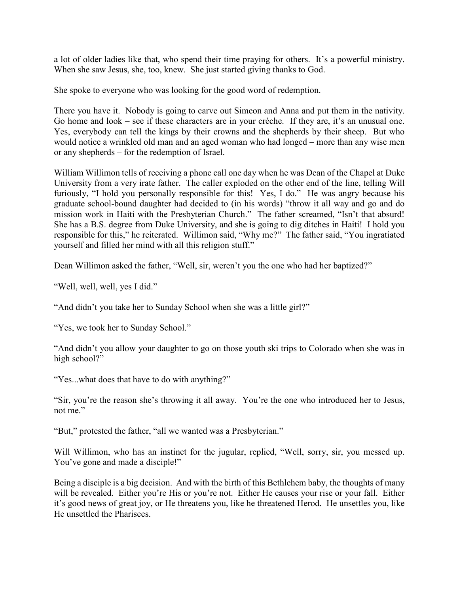a lot of older ladies like that, who spend their time praying for others. It's a powerful ministry. When she saw Jesus, she, too, knew. She just started giving thanks to God.

She spoke to everyone who was looking for the good word of redemption.

There you have it. Nobody is going to carve out Simeon and Anna and put them in the nativity. Go home and look – see if these characters are in your crèche. If they are, it's an unusual one. Yes, everybody can tell the kings by their crowns and the shepherds by their sheep. But who would notice a wrinkled old man and an aged woman who had longed – more than any wise men or any shepherds – for the redemption of Israel.

William Willimon tells of receiving a phone call one day when he was Dean of the Chapel at Duke University from a very irate father. The caller exploded on the other end of the line, telling Will furiously, "I hold you personally responsible for this! Yes, I do." He was angry because his graduate school-bound daughter had decided to (in his words) "throw it all way and go and do mission work in Haiti with the Presbyterian Church." The father screamed, "Isn't that absurd! She has a B.S. degree from Duke University, and she is going to dig ditches in Haiti! I hold you responsible for this," he reiterated. Willimon said, "Why me?" The father said, "You ingratiated yourself and filled her mind with all this religion stuff."

Dean Willimon asked the father, "Well, sir, weren't you the one who had her baptized?"

"Well, well, well, yes I did."

"And didn't you take her to Sunday School when she was a little girl?"

"Yes, we took her to Sunday School."

"And didn't you allow your daughter to go on those youth ski trips to Colorado when she was in high school?"

"Yes...what does that have to do with anything?"

"Sir, you're the reason she's throwing it all away. You're the one who introduced her to Jesus, not me."

"But," protested the father, "all we wanted was a Presbyterian."

Will Willimon, who has an instinct for the jugular, replied, "Well, sorry, sir, you messed up. You've gone and made a disciple!"

Being a disciple is a big decision. And with the birth of this Bethlehem baby, the thoughts of many will be revealed. Either you're His or you're not. Either He causes your rise or your fall. Either it's good news of great joy, or He threatens you, like he threatened Herod. He unsettles you, like He unsettled the Pharisees.